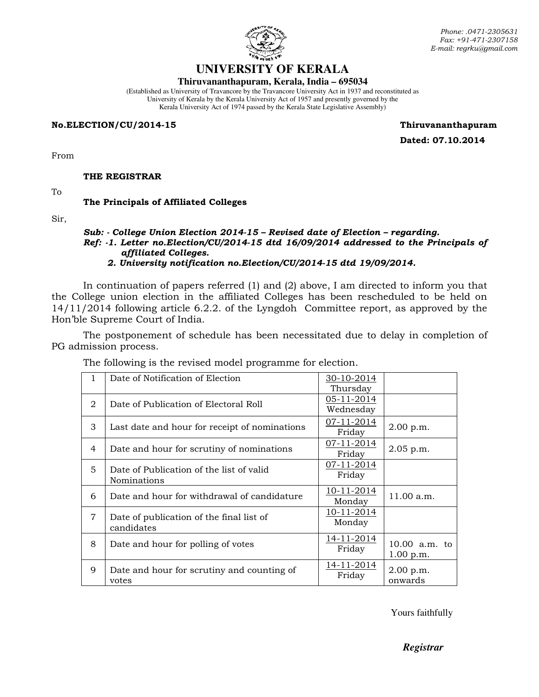

# **UNIVERSITY OF KERALA**

#### **Thiruvananthapuram, Kerala, India – 695034**

(Established as University of Travancore by the Travancore University Act in 1937 and reconstituted as University of Kerala by the Kerala University Act of 1957 and presently governed by the Kerala University Act of 1974 passed by the Kerala State Legislative Assembly)

#### No.ELECTION/CU/2014-15 Thiruvananthapuram

Dated: 07.10.2014

From

THE REGISTRAR

To

### The Principals of Affiliated Colleges

Sir,

#### Sub: - College Union Election 2014-15 – Revised date of Election – regarding. Ref: -1. Letter no.Election/CU/2014-15 dtd 16/09/2014 addressed to the Principals of affiliated Colleges. 2. University notification no.Election/CU/2014-15 dtd 19/09/2014.

 In continuation of papers referred (1) and (2) above, I am directed to inform you that the College union election in the affiliated Colleges has been rescheduled to be held on 14/11/2014 following article 6.2.2. of the Lyngdoh Committee report, as approved by the Hon'ble Supreme Court of India.

The postponement of schedule has been necessitated due to delay in completion of PG admission process.

| $\mathbf{1}$   | Date of Notification of Election              | 30-10-2014 |                 |
|----------------|-----------------------------------------------|------------|-----------------|
|                |                                               | Thursday   |                 |
|                |                                               | 05-11-2014 |                 |
| $\mathfrak{D}$ | Date of Publication of Electoral Roll         | Wednesday  |                 |
| 3              | Last date and hour for receipt of nominations | 07-11-2014 | 2.00 p.m.       |
|                |                                               | Friday     |                 |
|                |                                               | 07-11-2014 |                 |
| 4              | Date and hour for scrutiny of nominations     | Friday     | $2.05$ p.m.     |
| 5              |                                               | 07-11-2014 |                 |
|                | Date of Publication of the list of valid      | Friday     |                 |
|                | <b>Nominations</b>                            |            |                 |
| 6              | Date and hour for withdrawal of candidature   | 10-11-2014 | 11.00 a.m.      |
|                |                                               | Monday     |                 |
| $\overline{7}$ |                                               | 10-11-2014 |                 |
|                | Date of publication of the final list of      | Monday     |                 |
|                | candidates                                    |            |                 |
| 8              | Date and hour for polling of votes            | 14-11-2014 | $10.00$ a.m. to |
|                |                                               | Friday     | 1.00 p.m.       |
|                |                                               | 14-11-2014 |                 |
| 9              | Date and hour for scrutiny and counting of    |            | 2.00 p.m.       |
|                | votes                                         | Friday     | onwards         |
|                |                                               |            |                 |

The following is the revised model programme for election.

Yours faithfully

*Registrar*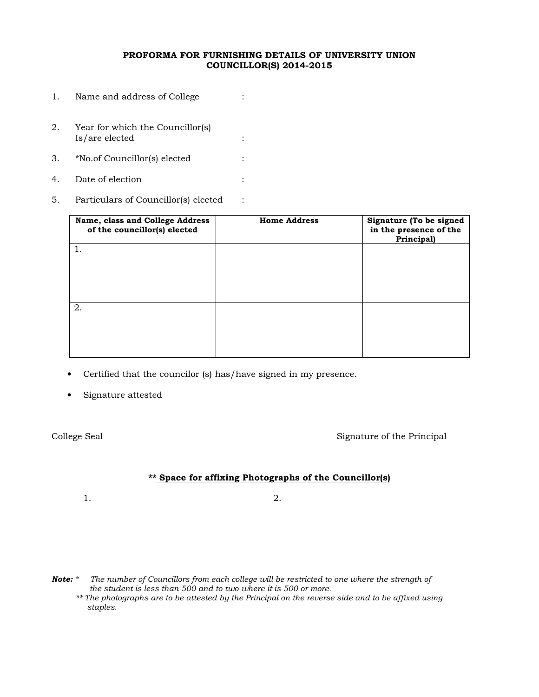### PROFORMA FOR FURNISHING DETAILS OF UNIVERSITY UNION COUNCILLOR(S) 2014-2015

- 1. Name and address of College : 2. Year for which the Councillor(s) Is/are elected : 3. \*No.of Councillor(s) elected : 4. Date of election :
- 5. Particulars of Councillor(s) elected :

| Name, class and College Address<br>of the councillor(s) elected | <b>Home Address</b> | Signature (To be signed<br>in the presence of the<br>Principal) |
|-----------------------------------------------------------------|---------------------|-----------------------------------------------------------------|
|                                                                 |                     |                                                                 |
|                                                                 |                     |                                                                 |
| 2.                                                              |                     |                                                                 |
|                                                                 |                     |                                                                 |

- Certified that the councilor (s) has/have signed in my presence.
- Signature attested

College Seal Signature of the Principal

### \*\* Space for affixing Photographs of the Councillor(s)

 $1.$  2.

**Note:** \* The number of Councillors from each college will be restricted to one where the strength of the student is less than 500 and to two where it is 500 or more.

\*\* The photographs are to be attested by the Principal on the reverse side and to be affixed using staples.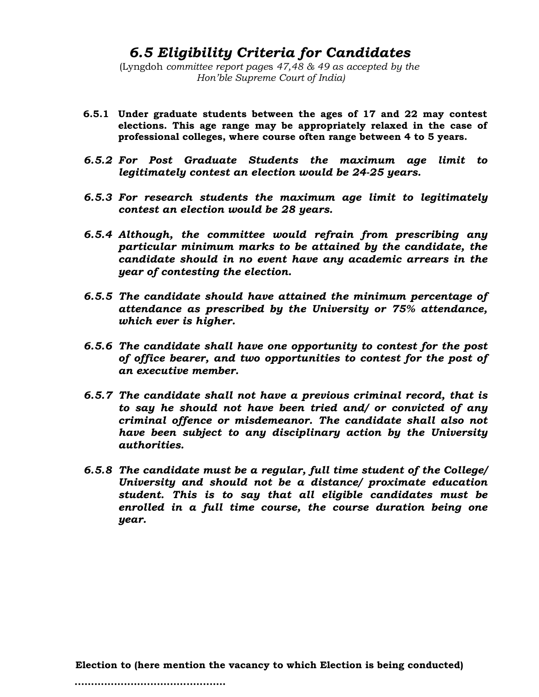# 6.5 Eligibility Criteria for Candidates

(Lyngdoh committee report pages 47,48 & 49 as accepted by the Hon'ble Supreme Court of India)

- 6.5.1 Under graduate students between the ages of 17 and 22 may contest elections. This age range may be appropriately relaxed in the case of professional colleges, where course often range between 4 to 5 years.
- 6.5.2 For Post Graduate Students the maximum age limit to legitimately contest an election would be 24-25 years.
- 6.5.3 For research students the maximum age limit to legitimately contest an election would be 28 years.
- 6.5.4 Although, the committee would refrain from prescribing any particular minimum marks to be attained by the candidate, the candidate should in no event have any academic arrears in the year of contesting the election.
- 6.5.5 The candidate should have attained the minimum percentage of attendance as prescribed by the University or 75% attendance, which ever is higher.
- 6.5.6 The candidate shall have one opportunity to contest for the post of office bearer, and two opportunities to contest for the post of an executive member.
- 6.5.7 The candidate shall not have a previous criminal record, that is to say he should not have been tried and/ or convicted of any criminal offence or misdemeanor. The candidate shall also not have been subject to any disciplinary action by the University authorities.
- 6.5.8 The candidate must be a regular, full time student of the College/ University and should not be a distance/ proximate education student. This is to say that all eligible candidates must be enrolled in a full time course, the course duration being one year.

Election to (here mention the vacancy to which Election is being conducted)

..............................................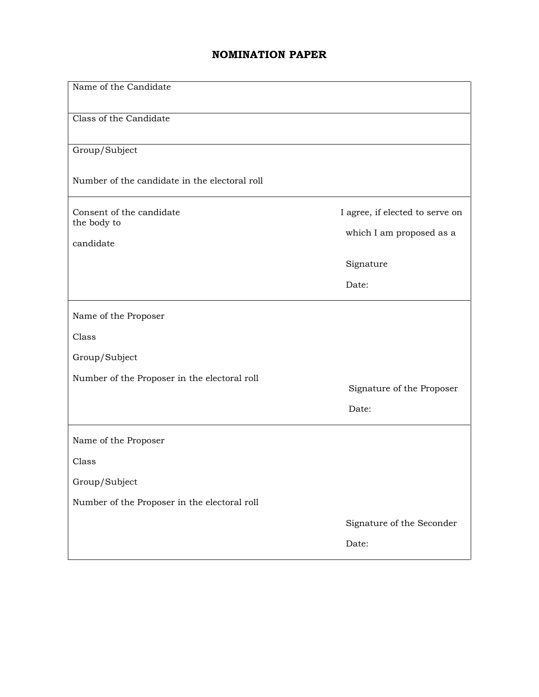# NOMINATION PAPER

| Name of the Candidate                         |                                                             |  |  |  |  |
|-----------------------------------------------|-------------------------------------------------------------|--|--|--|--|
| Class of the Candidate                        |                                                             |  |  |  |  |
| Group/Subject                                 |                                                             |  |  |  |  |
| Number of the candidate in the electoral roll |                                                             |  |  |  |  |
| Consent of the candidate<br>the body to       | I agree, if elected to serve on<br>which I am proposed as a |  |  |  |  |
| candidate                                     |                                                             |  |  |  |  |
|                                               | Signature                                                   |  |  |  |  |
|                                               | Date:                                                       |  |  |  |  |
| Name of the Proposer                          |                                                             |  |  |  |  |
| Class                                         |                                                             |  |  |  |  |
| Group/Subject                                 |                                                             |  |  |  |  |
| Number of the Proposer in the electoral roll  | Signature of the Proposer                                   |  |  |  |  |
|                                               | Date:                                                       |  |  |  |  |
| Name of the Proposer                          |                                                             |  |  |  |  |
| Class                                         |                                                             |  |  |  |  |
| Group/Subject                                 |                                                             |  |  |  |  |
| Number of the Proposer in the electoral roll  |                                                             |  |  |  |  |
|                                               | Signature of the Seconder                                   |  |  |  |  |
|                                               | Date:                                                       |  |  |  |  |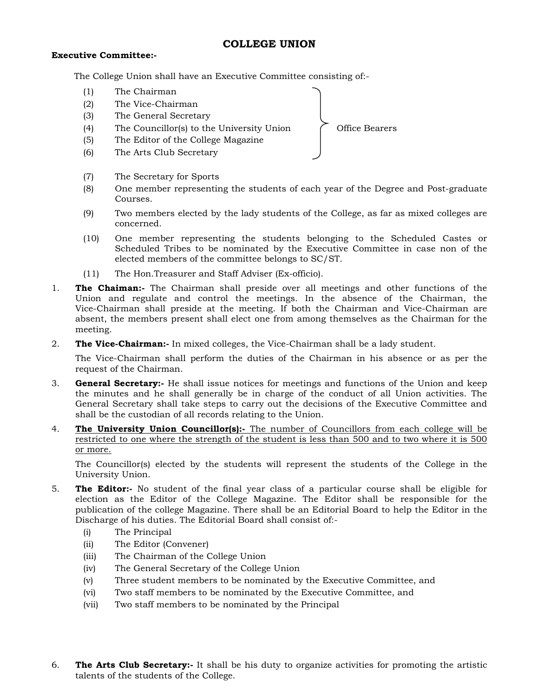# COLLEGE UNION

### Executive Committee:-

The College Union shall have an Executive Committee consisting of:-

- (1) The Chairman
- (2) The Vice-Chairman
- (3) The General Secretary
- (4) The Councillor(s) to the University Union  $\bigcap$  Office Bearers
- (5) The Editor of the College Magazine
- (6) The Arts Club Secretary
- (7) The Secretary for Sports
- (8) One member representing the students of each year of the Degree and Post-graduate Courses.
- (9) Two members elected by the lady students of the College, as far as mixed colleges are concerned.
- (10) One member representing the students belonging to the Scheduled Castes or Scheduled Tribes to be nominated by the Executive Committee in case non of the elected members of the committee belongs to SC/ST.
- (11) The Hon.Treasurer and Staff Adviser (Ex-officio).
- 1. The Chaiman:- The Chairman shall preside over all meetings and other functions of the Union and regulate and control the meetings. In the absence of the Chairman, the Vice-Chairman shall preside at the meeting. If both the Chairman and Vice-Chairman are absent, the members present shall elect one from among themselves as the Chairman for the meeting.
- 2. The Vice-Chairman:- In mixed colleges, the Vice-Chairman shall be a lady student.

 The Vice-Chairman shall perform the duties of the Chairman in his absence or as per the request of the Chairman.

- 3. **General Secretary:-** He shall issue notices for meetings and functions of the Union and keep the minutes and he shall generally be in charge of the conduct of all Union activities. The General Secretary shall take steps to carry out the decisions of the Executive Committee and shall be the custodian of all records relating to the Union.
- 4. The University Union Councillor(s):- The number of Councillors from each college will be restricted to one where the strength of the student is less than 500 and to two where it is 500 or more.

 The Councillor(s) elected by the students will represent the students of the College in the University Union.

- 5. The Editor:- No student of the final year class of a particular course shall be eligible for election as the Editor of the College Magazine. The Editor shall be responsible for the publication of the college Magazine. There shall be an Editorial Board to help the Editor in the Discharge of his duties. The Editorial Board shall consist of:-
	- (i) The Principal
	- (ii) The Editor (Convener)
	- (iii) The Chairman of the College Union
	- (iv) The General Secretary of the College Union
	- (v) Three student members to be nominated by the Executive Committee, and
	- (vi) Two staff members to be nominated by the Executive Committee, and
	- (vii) Two staff members to be nominated by the Principal
- 6. The Arts Club Secretary:- It shall be his duty to organize activities for promoting the artistic talents of the students of the College.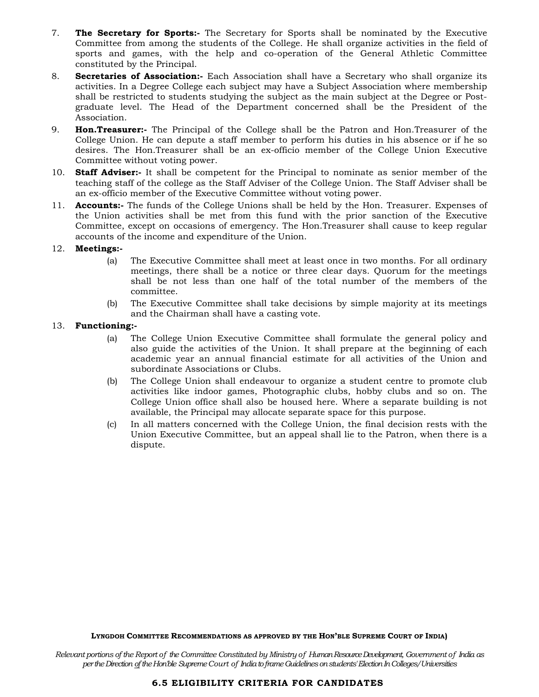- 7. The Secretary for Sports:- The Secretary for Sports shall be nominated by the Executive Committee from among the students of the College. He shall organize activities in the field of sports and games, with the help and co-operation of the General Athletic Committee constituted by the Principal.
- 8. **Secretaries of Association:** Each Association shall have a Secretary who shall organize its activities. In a Degree College each subject may have a Subject Association where membership shall be restricted to students studying the subject as the main subject at the Degree or Postgraduate level. The Head of the Department concerned shall be the President of the Association.
- 9. **Hon. Treasurer:** The Principal of the College shall be the Patron and Hon. Treasurer of the College Union. He can depute a staff member to perform his duties in his absence or if he so desires. The Hon.Treasurer shall be an ex-officio member of the College Union Executive Committee without voting power.
- 10. **Staff Adviser:** It shall be competent for the Principal to nominate as senior member of the teaching staff of the college as the Staff Adviser of the College Union. The Staff Adviser shall be an ex-officio member of the Executive Committee without voting power.
- 11. **Accounts:-** The funds of the College Unions shall be held by the Hon. Treasurer. Expenses of the Union activities shall be met from this fund with the prior sanction of the Executive Committee, except on occasions of emergency. The Hon.Treasurer shall cause to keep regular accounts of the income and expenditure of the Union.

#### 12. Meetings:-

- (a) The Executive Committee shall meet at least once in two months. For all ordinary meetings, there shall be a notice or three clear days. Quorum for the meetings shall be not less than one half of the total number of the members of the committee.
- (b) The Executive Committee shall take decisions by simple majority at its meetings and the Chairman shall have a casting vote.

#### 13. Functioning:-

- (a) The College Union Executive Committee shall formulate the general policy and also guide the activities of the Union. It shall prepare at the beginning of each academic year an annual financial estimate for all activities of the Union and subordinate Associations or Clubs.
- (b) The College Union shall endeavour to organize a student centre to promote club activities like indoor games, Photographic clubs, hobby clubs and so on. The College Union office shall also be housed here. Where a separate building is not available, the Principal may allocate separate space for this purpose.
- (c) In all matters concerned with the College Union, the final decision rests with the Union Executive Committee, but an appeal shall lie to the Patron, when there is a dispute.

#### LYNGDOH COMMITTEE RECOMMENDATIONS AS APPROVED BY THE HON'BLE SUPREME COURT OF INDIA)

Relevant portions of the Report of the Committee Constituted by Ministry of Human Resource Development, Government of India as per the Direction of the Hon'ble Supreme Court of India to frame Guidelines on students' Election In Colleges/Universities

#### 6.5 ELIGIBILITY CRITERIA FOR CANDIDATES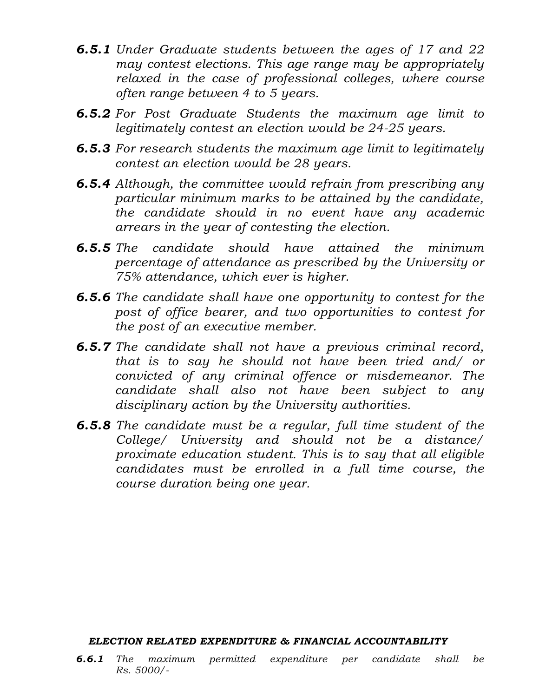- **6.5.1** Under Graduate students between the ages of 17 and 22 may contest elections. This age range may be appropriately relaxed in the case of professional colleges, where course often range between 4 to 5 years.
- 6.5.2 For Post Graduate Students the maximum age limit to legitimately contest an election would be 24-25 years.
- **6.5.3** For research students the maximum age limit to legitimately contest an election would be 28 years.
- **6.5.4** Although, the committee would refrain from prescribing any particular minimum marks to be attained by the candidate, the candidate should in no event have any academic arrears in the year of contesting the election.
- 6.5.5 The candidate should have attained the minimum percentage of attendance as prescribed by the University or 75% attendance, which ever is higher.
- 6.5.6 The candidate shall have one opportunity to contest for the post of office bearer, and two opportunities to contest for the post of an executive member.
- **6.5.7** The candidate shall not have a previous criminal record, that is to say he should not have been tried and/ or convicted of any criminal offence or misdemeanor. The candidate shall also not have been subject to any disciplinary action by the University authorities.
- 6.5.8 The candidate must be a regular, full time student of the College/ University and should not be a distance/ proximate education student. This is to say that all eligible candidates must be enrolled in a full time course, the course duration being one year.

# ELECTION RELATED EXPENDITURE & FINANCIAL ACCOUNTABILITY

6.6.1 The maximum permitted expenditure per candidate shall be Rs. 5000/-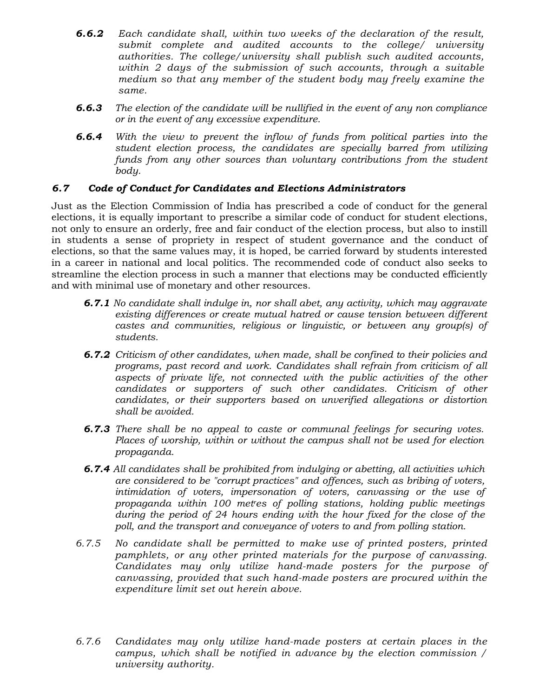- 6.6.2 Each candidate shall, within two weeks of the declaration of the result, submit complete and audited accounts to the college/ university authorities. The college/university shall publish such audited accounts, within 2 days of the submission of such accounts, through a suitable medium so that any member of the student body may freely examine the same.
- **6.6.3** The election of the candidate will be nullified in the event of any non compliance or in the event of any excessive expenditure.
- 6.6.4 With the view to prevent the inflow of funds from political parties into the student election process, the candidates are specially barred from utilizing funds from any other sources than voluntary contributions from the student body.

# 6.7 Code of Conduct for Candidates and Elections Administrators

Just as the Election Commission of India has prescribed a code of conduct for the general elections, it is equally important to prescribe a similar code of conduct for student elections, not only to ensure an orderly, free and fair conduct of the election process, but also to instill in students a sense of propriety in respect of student governance and the conduct of elections, so that the same values may, it is hoped, be carried forward by students interested in a career in national and local politics. The recommended code of conduct also seeks to streamline the election process in such a manner that elections may be conducted efficiently and with minimal use of monetary and other resources.

- **6.7.1** No candidate shall indulge in, nor shall abet, any activity, which may aggravate existing differences or create mutual hatred or cause tension between different castes and communities, religious or linguistic, or between any group(s) of students.
- 6.7.2 Criticism of other candidates, when made, shall be confined to their policies and programs, past record and work. Candidates shall refrain from criticism of all aspects of private life, not connected with the public activities of the other candidates or supporters of such other candidates. Criticism of other candidates, or their supporters based on unverified allegations or distortion shall be avoided.
- **6.7.3** There shall be no appeal to caste or communal feelings for securing votes. Places of worship, within or without the campus shall not be used for election propaganda.
- 6.7.4 All candidates shall be prohibited from indulging or abetting, all activities which are considered to be "corrupt practices" and offences, such as bribing of voters, intimidation of voters, impersonation of voters, canvassing or the use of propaganda within 100 metres of polling stations, holding public meetings during the period of 24 hours ending with the hour fixed for the close of the poll, and the transport and conveyance of voters to and from polling station.
- 6.7.5 No candidate shall be permitted to make use of printed posters, printed pamphlets, or any other printed materials for the purpose of canvassing. Candidates may only utilize hand-made posters for the purpose of canvassing, provided that such hand-made posters are procured within the expenditure limit set out herein above.
- 6.7.6 Candidates may only utilize hand-made posters at certain places in the campus, which shall be notified in advance by the election commission / university authority.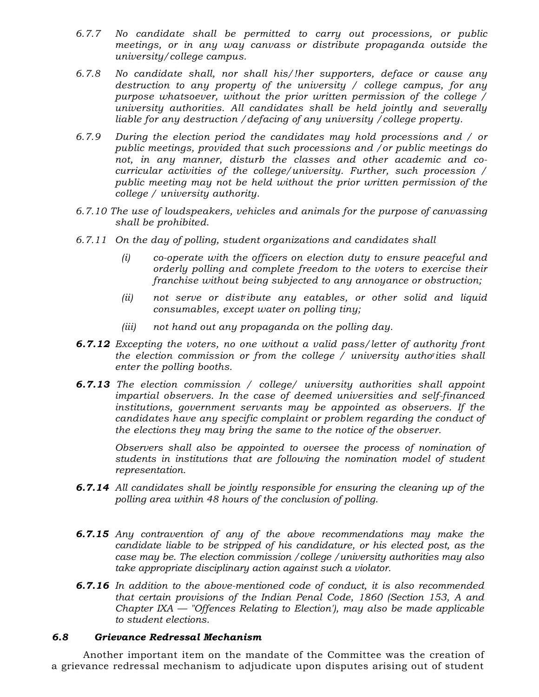- 6.7.7 No candidate shall be permitted to carry out processions, or public meetings, or in any way canvass or distribute propaganda outside the university/college campus.
- 6.7.8 No candidate shall, nor shall his/!her supporters, deface or cause any destruction to any property of the university / college campus, for any purpose whatsoever, without the prior written permission of the college / university authorities. All candidates shall be held jointly and severally liable for any destruction /defacing of any university /college property.
- 6.7.9 During the election period the candidates may hold processions and / or public meetings, provided that such processions and /or public meetings do not, in any manner, disturb the classes and other academic and cocurricular activities of the college/university. Further, such procession / public meeting may not be held without the prior written permission of the college / university authority.
- 6.7.10 The use of loudspeakers, vehicles and animals for the purpose of canvassing shall be prohibited.
- 6.7.11 On the day of polling, student organizations and candidates shall
	- (i) co-operate with the officers on election duty to ensure peaceful and orderly polling and complete freedom to the voters to exercise their franchise without being subjected to any annoyance or obstruction;
	- (ii) not serve or distibute any eatables, or other solid and liquid consumables, except water on polling tiny;
	- (iii) not hand out any propaganda on the polling day.
- **6.7.12** Excepting the voters, no one without a valid pass/letter of authority front the election commission or from the college / university autho<sup>r</sup> ities shall enter the polling booths.
- **6.7.13** The election commission / college/ university authorities shall appoint impartial observers. In the case of deemed universities and self-financed institutions, government servants may be appointed as observers. If the candidates have any specific complaint or problem regarding the conduct of the elections they may bring the same to the notice of the observer.

Observers shall also be appointed to oversee the process of nomination of students in institutions that are following the nomination model of student representation.

- **6.7.14** All candidates shall be jointly responsible for ensuring the cleaning up of the polling area within 48 hours of the conclusion of polling.
- **6.7.15** Any contravention of any of the above recommendations may make the candidate liable to be stripped of his candidature, or his elected post, as the case may be. The election commission /college /university authorities may also take appropriate disciplinary action against such a violator.
- **6.7.16** In addition to the above-mentioned code of conduct, it is also recommended that certain provisions of the Indian Penal Code, 1860 (Section 153, A and Chapter  $IXA$  — "Offences Relating to Election'), may also be made applicable to student elections.

# 6.8 Grievance Redressal Mechanism

 Another important item on the mandate of the Committee was the creation of a grievance redressal mechanism to adjudicate upon disputes arising out of student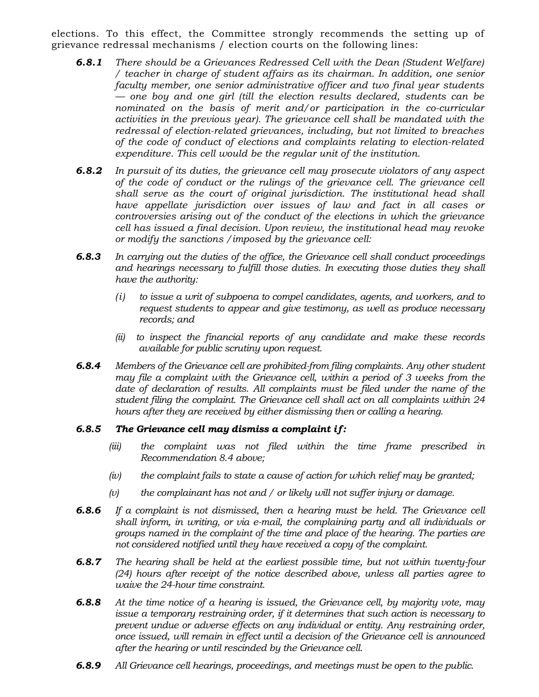elections. To this effect, the Committee strongly recommends the setting up of grievance redressal mechanisms / election courts on the following lines:

- **6.8.1** There should be a Grievances Redressed Cell with the Dean (Student Welfare) / teacher in charge of student affairs as its chairman. In addition, one senior faculty member, one senior administrative officer and two final year students — one boy and one girl (till the election results declared, students can be nominated on the basis of merit and/or participation in the co-curricular activities in the previous year). The grievance cell shall be mandated with the redressal of election-related grievances, including, but not limited to breaches of the code of conduct of elections and complaints relating to election-related expenditure. This cell would be the regular unit of the institution.
- **6.8.2** In pursuit of its duties, the grievance cell may prosecute violators of any aspect of the code of conduct or the rulings of the grievance cell. The grievance cell shall serve as the court of original jurisdiction. The institutional head shall have appellate jurisdiction over issues of law and fact in all cases or controversies arising out of the conduct of the elections in which the grievance cell has issued a final decision. Upon review, the institutional head may revoke or modify the sanctions /imposed by the grievance cell:
- **6.8.3** In carrying out the duties of the office, the Grievance cell shall conduct proceedings and hearings necessary to fulfill those duties. In executing those duties they shall have the authority:
	- (i) to issue a writ of subpoena to compel candidates, agents, and workers, and to request students to appear and give testimony, as well as produce necessary records; and
	- (ii) to inspect the financial reports of any candidate and make these records available for public scrutiny upon request.
- **6.8.4** Members of the Grievance cell are prohibited-from filing complaints. Any other student may file a complaint with the Grievance cell, within a period of 3 weeks from the date of declaration of results. All complaints must be filed under the name of the student filing the complaint. The Grievance cell shall act on all complaints within 24 hours after they are received by either dismissing then or calling a hearing.

# 6.8.5 The Grievance cell may dismiss a complaint if:

- (iii) the complaint was not filed within the time frame prescribed in Recommendation 8.4 above;
- $(iv)$  the complaint fails to state a cause of action for which relief may be granted;
- $(v)$  the complainant has not and / or likely will not suffer injury or damage.
- **6.8.6** If a complaint is not dismissed, then a hearing must be held. The Grievance cell shall inform, in writing, or via e-mail, the complaining party and all individuals or groups named in the complaint of the time and place of the hearing. The parties are not considered notified until they have received a copy of the complaint.
- **6.8.7** The hearing shall be held at the earliest possible time, but not within twenty-four (24) hours after receipt of the notice described above, unless all parties agree to waive the 24-hour time constraint.
- **6.8.8** At the time notice of a hearing is issued, the Grievance cell, by majority vote, may issue a temporary restraining order, if it determines that such action is necessary to prevent undue or adverse effects on any individual or entity. Any restraining order, once issued, will remain in effect until a decision of the Grievance cell is announced after the hearing or until rescinded by the Grievance cell.
- **6.8.9** All Grievance cell hearings, proceedings, and meetings must be open to the public.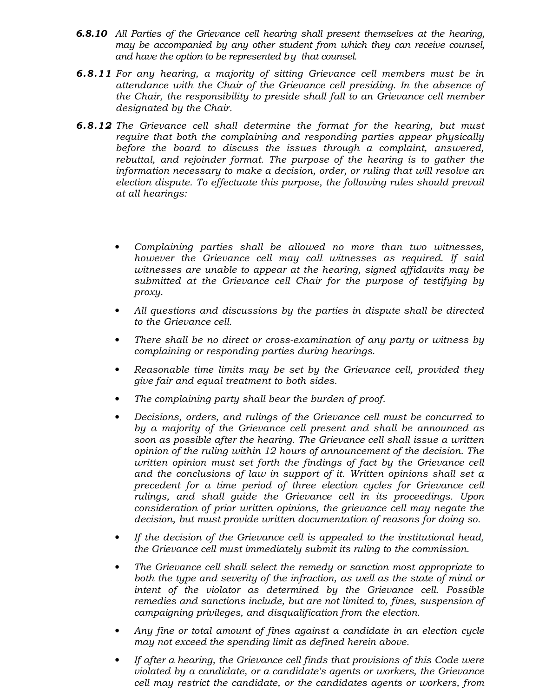- **6.8.10** All Parties of the Grievance cell hearing shall present themselves at the hearing, may be accompanied by any other student from which they can receive counsel, and have the option to be represented by that counsel.
- 6.8.11 For any hearing, a majority of sitting Grievance cell members must be in attendance with the Chair of the Grievance cell presiding. In the absence of the Chair, the responsibility to preside shall fall to an Grievance cell member designated by the Chair.
- **6.8.12** The Grievance cell shall determine the format for the hearing, but must require that both the complaining and responding parties appear physically before the board to discuss the issues through a complaint, answered, rebuttal, and rejoinder format. The purpose of the hearing is to gather the information necessary to make a decision, order, or ruling that will resolve an election dispute. To effectuate this purpose, the following rules should prevail at all hearings:
	- Complaining parties shall be allowed no more than two witnesses, however the Grievance cell may call witnesses as required. If said witnesses are unable to appear at the hearing, signed affidavits may be submitted at the Grievance cell Chair for the purpose of testifying by proxy.
	- All questions and discussions by the parties in dispute shall be directed to the Grievance cell.
	- There shall be no direct or cross-examination of any party or witness by complaining or responding parties during hearings.
	- Reasonable time limits may be set by the Grievance cell, provided they give fair and equal treatment to both sides.
	- The complaining party shall bear the burden of proof.
	- Decisions, orders, and rulings of the Grievance cell must be concurred to by a majority of the Grievance cell present and shall be announced as soon as possible after the hearing. The Grievance cell shall issue a written opinion of the ruling within 12 hours of announcement of the decision. The written opinion must set forth the findings of fact by the Grievance cell and the conclusions of law in support of it. Written opinions shall set a precedent for a time period of three election cycles for Grievance cell rulings, and shall guide the Grievance cell in its proceedings. Upon consideration of prior written opinions, the grievance cell may negate the decision, but must provide written documentation of reasons for doing so.
	- If the decision of the Grievance cell is appealed to the institutional head, the Grievance cell must immediately submit its ruling to the commission.
	- The Grievance cell shall select the remedy or sanction most appropriate to both the type and severity of the infraction, as well as the state of mind or intent of the violator as determined by the Grievance cell. Possible remedies and sanctions include, but are not limited to, fines, suspension of campaigning privileges, and disqualification from the election.
	- Any fine or total amount of fines against a candidate in an election cycle may not exceed the spending limit as defined herein above.
	- If after a hearing, the Grievance cell finds that provisions of this Code were violated by a candidate, or a candidate's agents or workers, the Grievance cell may restrict the candidate, or the candidates agents or workers, from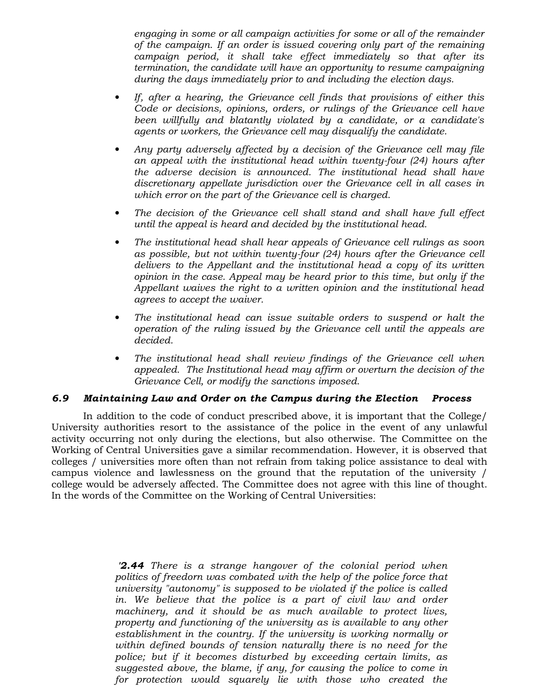engaging in some or all campaign activities for some or all of the remainder of the campaign. If an order is issued covering only part of the remaining campaign period, it shall take effect immediately so that after its termination, the candidate will have an opportunity to resume campaigning during the days immediately prior to and including the election days.

- If, after a hearing, the Grievance cell finds that provisions of either this Code or decisions, opinions, orders, or rulings of the Grievance cell have been willfully and blatantly violated by a candidate, or a candidate's agents or workers, the Grievance cell may disqualify the candidate.
- Any party adversely affected by a decision of the Grievance cell may file an appeal with the institutional head within twenty-four (24) hours after the adverse decision is announced. The institutional head shall have discretionary appellate jurisdiction over the Grievance cell in all cases in which error on the part of the Grievance cell is charged.
- The decision of the Grievance cell shall stand and shall have full effect until the appeal is heard and decided by the institutional head.
- The institutional head shall hear appeals of Grievance cell rulings as soon as possible, but not within twenty-four (24) hours after the Grievance cell delivers to the Appellant and the institutional head a copy of its written opinion in the case. Appeal may be heard prior to this time, but only if the Appellant waives the right to a written opinion and the institutional head agrees to accept the waiver.
- The institutional head can issue suitable orders to suspend or halt the operation of the ruling issued by the Grievance cell until the appeals are decided.
- The institutional head shall review findings of the Grievance cell when appealed. The Institutional head may affirm or overturn the decision of the Grievance Cell, or modify the sanctions imposed.

# 6.9 Maintaining Law and Order on the Campus during the Election Process

 In addition to the code of conduct prescribed above, it is important that the College/ University authorities resort to the assistance of the police in the event of any unlawful activity occurring not only during the elections, but also otherwise. The Committee on the Working of Central Universities gave a similar recommendation. However, it is observed that colleges / universities more often than not refrain from taking police assistance to deal with campus violence and lawlessness on the ground that the reputation of the university / college would be adversely affected. The Committee does not agree with this line of thought. In the words of the Committee on the Working of Central Universities:

> **2.44** There is a strange hangover of the colonial period when politics of freedorn was combated with the help of the police force that university "autonomy" is supposed to be violated if the police is called in. We believe that the police is a part of civil law and order machinery, and it should be as much available to protect lives, property and functioning of the university as is available to any other establishment in the country. If the university is working normally or within defined bounds of tension naturally there is no need for the police; but if it becomes disturbed by exceeding certain limits, as suggested above, the blame, if any, for causing the police to come in for protection would squarely lie with those who created the